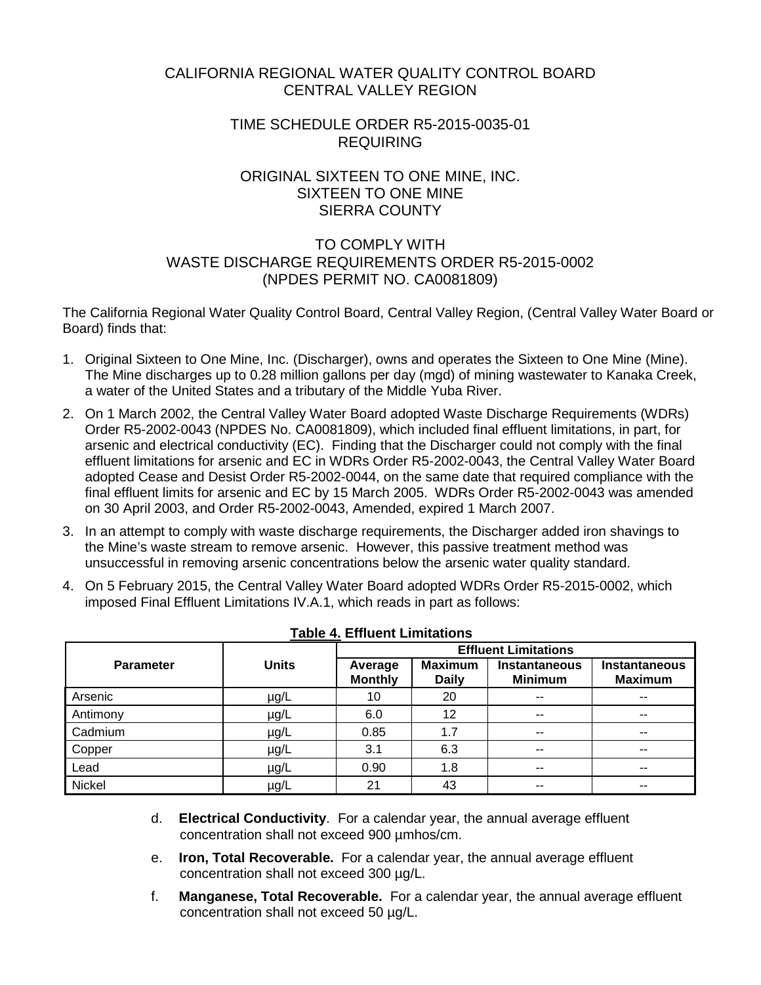# CALIFORNIA REGIONAL WATER QUALITY CONTROL BOARD CENTRAL VALLEY REGION

## TIME SCHEDULE ORDER R5-2015-0035-01 REQUIRING

## ORIGINAL SIXTEEN TO ONE MINE, INC. SIXTEEN TO ONE MINE SIERRA COUNTY

# TO COMPLY WITH WASTE DISCHARGE REQUIREMENTS ORDER R5-2015-0002 (NPDES PERMIT NO. CA0081809)

The California Regional Water Quality Control Board, Central Valley Region, (Central Valley Water Board or Board) finds that:

- 1. Original Sixteen to One Mine, Inc. (Discharger), owns and operates the Sixteen to One Mine (Mine). The Mine discharges up to 0.28 million gallons per day (mgd) of mining wastewater to Kanaka Creek, a water of the United States and a tributary of the Middle Yuba River.
- 2. On 1 March 2002, the Central Valley Water Board adopted Waste Discharge Requirements (WDRs) Order R5-2002-0043 (NPDES No. CA0081809), which included final effluent limitations, in part, for arsenic and electrical conductivity (EC). Finding that the Discharger could not comply with the final effluent limitations for arsenic and EC in WDRs Order R5-2002-0043, the Central Valley Water Board adopted Cease and Desist Order R5-2002-0044, on the same date that required compliance with the final effluent limits for arsenic and EC by 15 March 2005. WDRs Order R5-2002-0043 was amended on 30 April 2003, and Order R5-2002-0043, Amended, expired 1 March 2007.
- 3. In an attempt to comply with waste discharge requirements, the Discharger added iron shavings to the Mine's waste stream to remove arsenic. However, this passive treatment method was unsuccessful in removing arsenic concentrations below the arsenic water quality standard.
- 4. On 5 February 2015, the Central Valley Water Board adopted WDRs Order R5-2015-0002, which imposed Final Effluent Limitations IV.A.1, which reads in part as follows:

|                  | <b>Units</b> | <b>Effluent Limitations</b> |                                |                                        |                                 |  |
|------------------|--------------|-----------------------------|--------------------------------|----------------------------------------|---------------------------------|--|
| <b>Parameter</b> |              | Average<br><b>Monthly</b>   | <b>Maximum</b><br><b>Daily</b> | <b>Instantaneous</b><br><b>Minimum</b> | Instantaneous<br><b>Maximum</b> |  |
| Arsenic          | µg/L         | 10                          | 20                             | $-$                                    | $-$                             |  |
| Antimony         | $\mu$ g/L    | 6.0                         | 12                             | $-$                                    | $-$                             |  |
| Cadmium          | $\mu$ g/L    | 0.85                        | 1.7                            | $- -$                                  | $\sim$ $\sim$                   |  |
| Copper           | µg/L         | 3.1                         | 6.3                            | $-$                                    | $- -$                           |  |
| Lead             | $\mu$ g/L    | 0.90                        | 1.8                            | $-$                                    | $-$                             |  |
| Nickel           | $\mu$ g/L    | 21                          | 43                             | $-$                                    | $- -$                           |  |

|  |  | <b>Table 4. Effluent Limitations</b> |
|--|--|--------------------------------------|
|  |  |                                      |

- d. **Electrical Conductivity**. For a calendar year, the annual average effluent concentration shall not exceed 900 µmhos/cm.
- e. **Iron, Total Recoverable.** For a calendar year, the annual average effluent concentration shall not exceed 300 µg/L.
- f. **Manganese, Total Recoverable.** For a calendar year, the annual average effluent concentration shall not exceed 50 µg/L.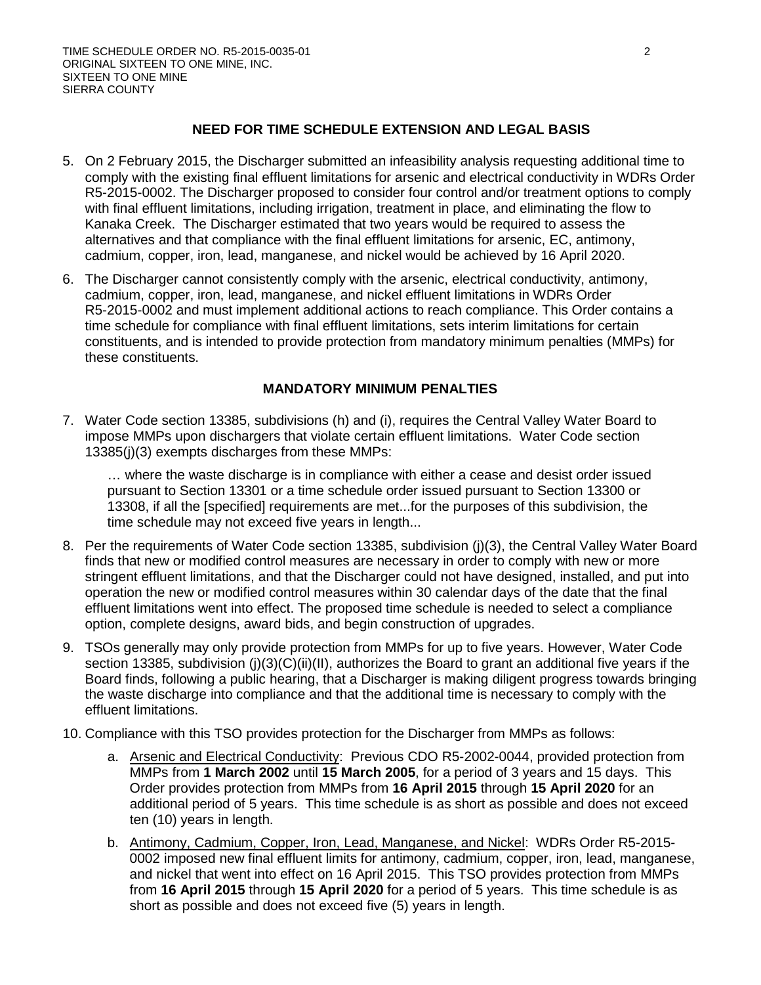### **NEED FOR TIME SCHEDULE EXTENSION AND LEGAL BASIS**

- 5. On 2 February 2015, the Discharger submitted an infeasibility analysis requesting additional time to comply with the existing final effluent limitations for arsenic and electrical conductivity in WDRs Order R5-2015-0002. The Discharger proposed to consider four control and/or treatment options to comply with final effluent limitations, including irrigation, treatment in place, and eliminating the flow to Kanaka Creek. The Discharger estimated that two years would be required to assess the alternatives and that compliance with the final effluent limitations for arsenic, EC, antimony, cadmium, copper, iron, lead, manganese, and nickel would be achieved by 16 April 2020.
- 6. The Discharger cannot consistently comply with the arsenic, electrical conductivity, antimony, cadmium, copper, iron, lead, manganese, and nickel effluent limitations in WDRs Order R5-2015-0002 and must implement additional actions to reach compliance. This Order contains a time schedule for compliance with final effluent limitations, sets interim limitations for certain constituents, and is intended to provide protection from mandatory minimum penalties (MMPs) for these constituents.

### **MANDATORY MINIMUM PENALTIES**

7. Water Code section 13385, subdivisions (h) and (i), requires the Central Valley Water Board to impose MMPs upon dischargers that violate certain effluent limitations. Water Code section 13385(j)(3) exempts discharges from these MMPs:

… where the waste discharge is in compliance with either a cease and desist order issued pursuant to Section 13301 or a time schedule order issued pursuant to Section 13300 or 13308, if all the [specified] requirements are met...for the purposes of this subdivision, the time schedule may not exceed five years in length...

- 8. Per the requirements of Water Code section 13385, subdivision (j)(3), the Central Valley Water Board finds that new or modified control measures are necessary in order to comply with new or more stringent effluent limitations, and that the Discharger could not have designed, installed, and put into operation the new or modified control measures within 30 calendar days of the date that the final effluent limitations went into effect. The proposed time schedule is needed to select a compliance option, complete designs, award bids, and begin construction of upgrades.
- 9. TSOs generally may only provide protection from MMPs for up to five years. However, Water Code section 13385, subdivision (j)(3)(C)(ii)(II), authorizes the Board to grant an additional five years if the Board finds, following a public hearing, that a Discharger is making diligent progress towards bringing the waste discharge into compliance and that the additional time is necessary to comply with the effluent limitations.
- 10. Compliance with this TSO provides protection for the Discharger from MMPs as follows:
	- a. Arsenic and Electrical Conductivity: Previous CDO R5-2002-0044, provided protection from MMPs from **1 March 2002** until **15 March 2005**, for a period of 3 years and 15 days. This Order provides protection from MMPs from **16 April 2015** through **15 April 2020** for an additional period of 5 years. This time schedule is as short as possible and does not exceed ten (10) years in length.
	- b. Antimony, Cadmium, Copper, Iron, Lead, Manganese, and Nickel: WDRs Order R5-2015- 0002 imposed new final effluent limits for antimony, cadmium, copper, iron, lead, manganese, and nickel that went into effect on 16 April 2015. This TSO provides protection from MMPs from **16 April 2015** through **15 April 2020** for a period of 5 years. This time schedule is as short as possible and does not exceed five (5) years in length.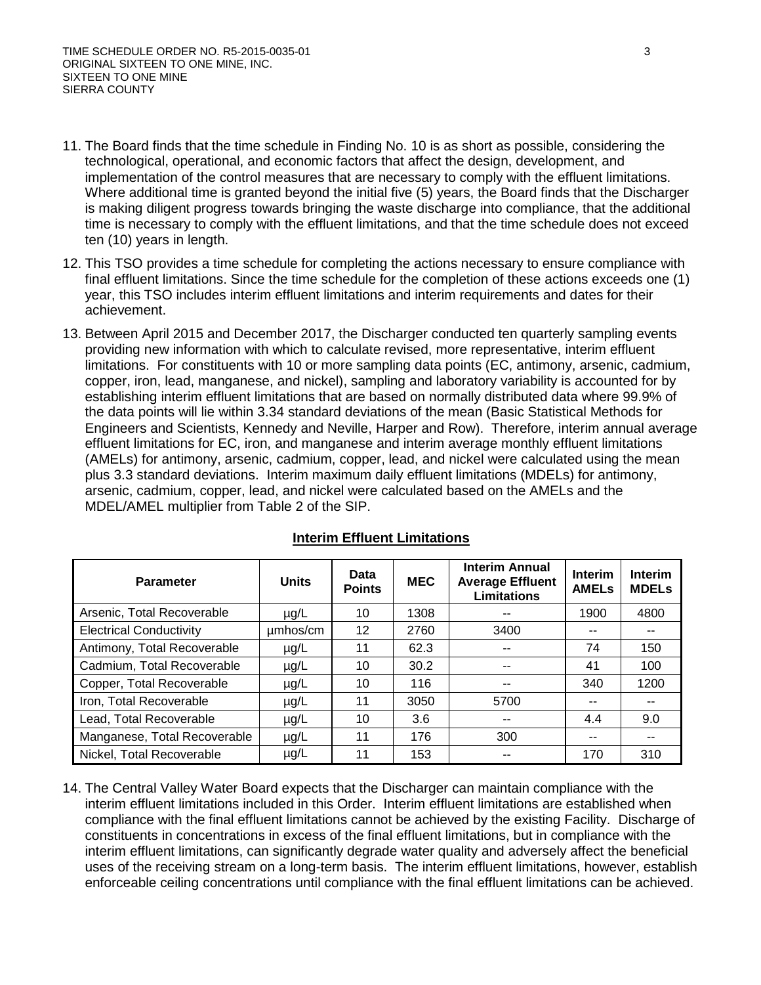- 11. The Board finds that the time schedule in Finding No. 10 is as short as possible, considering the technological, operational, and economic factors that affect the design, development, and implementation of the control measures that are necessary to comply with the effluent limitations. Where additional time is granted beyond the initial five (5) years, the Board finds that the Discharger is making diligent progress towards bringing the waste discharge into compliance, that the additional time is necessary to comply with the effluent limitations, and that the time schedule does not exceed ten (10) years in length.
- 12. This TSO provides a time schedule for completing the actions necessary to ensure compliance with final effluent limitations. Since the time schedule for the completion of these actions exceeds one (1) year, this TSO includes interim effluent limitations and interim requirements and dates for their achievement.
- 13. Between April 2015 and December 2017, the Discharger conducted ten quarterly sampling events providing new information with which to calculate revised, more representative, interim effluent limitations. For constituents with 10 or more sampling data points (EC, antimony, arsenic, cadmium, copper, iron, lead, manganese, and nickel), sampling and laboratory variability is accounted for by establishing interim effluent limitations that are based on normally distributed data where 99.9% of the data points will lie within 3.34 standard deviations of the mean (Basic Statistical Methods for Engineers and Scientists, Kennedy and Neville, Harper and Row). Therefore, interim annual average effluent limitations for EC, iron, and manganese and interim average monthly effluent limitations (AMELs) for antimony, arsenic, cadmium, copper, lead, and nickel were calculated using the mean plus 3.3 standard deviations. Interim maximum daily effluent limitations (MDELs) for antimony, arsenic, cadmium, copper, lead, and nickel were calculated based on the AMELs and the MDEL/AMEL multiplier from Table 2 of the SIP.

| <b>Parameter</b>               | <b>Units</b> | Data<br><b>Points</b> | <b>MEC</b> | <b>Interim Annual</b><br><b>Average Effluent</b><br><b>Limitations</b> | <b>Interim</b><br><b>AMELS</b> | <b>Interim</b><br><b>MDELs</b> |
|--------------------------------|--------------|-----------------------|------------|------------------------------------------------------------------------|--------------------------------|--------------------------------|
| Arsenic, Total Recoverable     | $\mu$ g/L    | 10                    | 1308       | --                                                                     | 1900                           | 4800                           |
| <b>Electrical Conductivity</b> | umhos/cm     | 12                    | 2760       | 3400                                                                   |                                |                                |
| Antimony, Total Recoverable    | $\mu$ g/L    | 11                    | 62.3       | --                                                                     | 74                             | 150                            |
| Cadmium, Total Recoverable     | $\mu$ g/L    | 10                    | 30.2       | --                                                                     | 41                             | 100                            |
| Copper, Total Recoverable      | $\mu$ g/L    | 10                    | 116        | --                                                                     | 340                            | 1200                           |
| Iron, Total Recoverable        | $\mu$ g/L    | 11                    | 3050       | 5700                                                                   |                                |                                |
| Lead, Total Recoverable        | $\mu$ g/L    | 10                    | 3.6        | --                                                                     | 4.4                            | 9.0                            |
| Manganese, Total Recoverable   | $\mu$ g/L    | 11                    | 176        | 300                                                                    |                                |                                |
| Nickel, Total Recoverable      | $\mu$ g/L    | 11                    | 153        | --                                                                     | 170                            | 310                            |

### **Interim Effluent Limitations**

14. The Central Valley Water Board expects that the Discharger can maintain compliance with the interim effluent limitations included in this Order. Interim effluent limitations are established when compliance with the final effluent limitations cannot be achieved by the existing Facility. Discharge of constituents in concentrations in excess of the final effluent limitations, but in compliance with the interim effluent limitations, can significantly degrade water quality and adversely affect the beneficial uses of the receiving stream on a long-term basis. The interim effluent limitations, however, establish enforceable ceiling concentrations until compliance with the final effluent limitations can be achieved.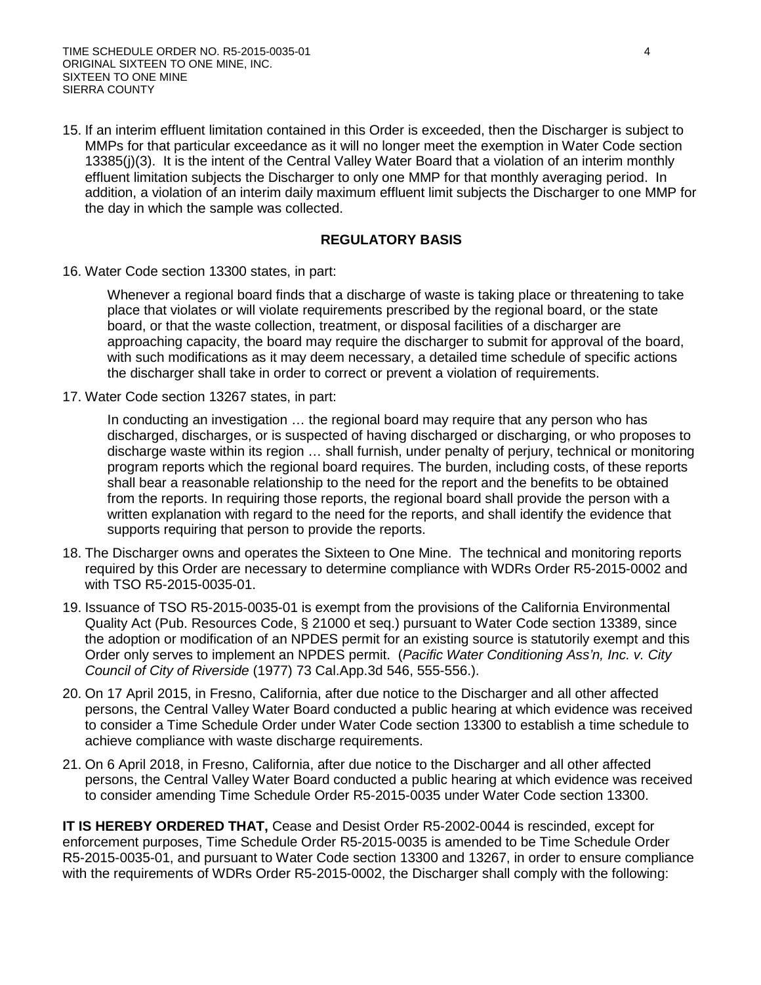15. If an interim effluent limitation contained in this Order is exceeded, then the Discharger is subject to MMPs for that particular exceedance as it will no longer meet the exemption in Water Code section 13385(j)(3). It is the intent of the Central Valley Water Board that a violation of an interim monthly effluent limitation subjects the Discharger to only one MMP for that monthly averaging period. In addition, a violation of an interim daily maximum effluent limit subjects the Discharger to one MMP for the day in which the sample was collected.

#### **REGULATORY BASIS**

16. Water Code section 13300 states, in part:

Whenever a regional board finds that a discharge of waste is taking place or threatening to take place that violates or will violate requirements prescribed by the regional board, or the state board, or that the waste collection, treatment, or disposal facilities of a discharger are approaching capacity, the board may require the discharger to submit for approval of the board, with such modifications as it may deem necessary, a detailed time schedule of specific actions the discharger shall take in order to correct or prevent a violation of requirements.

17. Water Code section 13267 states, in part:

In conducting an investigation ... the regional board may require that any person who has discharged, discharges, or is suspected of having discharged or discharging, or who proposes to discharge waste within its region … shall furnish, under penalty of perjury, technical or monitoring program reports which the regional board requires. The burden, including costs, of these reports shall bear a reasonable relationship to the need for the report and the benefits to be obtained from the reports. In requiring those reports, the regional board shall provide the person with a written explanation with regard to the need for the reports, and shall identify the evidence that supports requiring that person to provide the reports.

- 18. The Discharger owns and operates the Sixteen to One Mine. The technical and monitoring reports required by this Order are necessary to determine compliance with WDRs Order R5-2015-0002 and with TSO R5-2015-0035-01.
- 19. Issuance of TSO R5-2015-0035-01 is exempt from the provisions of the California Environmental Quality Act (Pub. Resources Code, § 21000 et seq.) pursuant to Water Code section 13389, since the adoption or modification of an NPDES permit for an existing source is statutorily exempt and this Order only serves to implement an NPDES permit. (*Pacific Water Conditioning Ass'n, Inc. v. City Council of City of Riverside* (1977) 73 Cal.App.3d 546, 555-556.).
- 20. On 17 April 2015, in Fresno, California, after due notice to the Discharger and all other affected persons, the Central Valley Water Board conducted a public hearing at which evidence was received to consider a Time Schedule Order under Water Code section 13300 to establish a time schedule to achieve compliance with waste discharge requirements.
- 21. On 6 April 2018, in Fresno, California, after due notice to the Discharger and all other affected persons, the Central Valley Water Board conducted a public hearing at which evidence was received to consider amending Time Schedule Order R5-2015-0035 under Water Code section 13300.

**IT IS HEREBY ORDERED THAT,** Cease and Desist Order R5-2002-0044 is rescinded, except for enforcement purposes, Time Schedule Order R5-2015-0035 is amended to be Time Schedule Order R5-2015-0035-01, and pursuant to Water Code section 13300 and 13267, in order to ensure compliance with the requirements of WDRs Order R5-2015-0002, the Discharger shall comply with the following: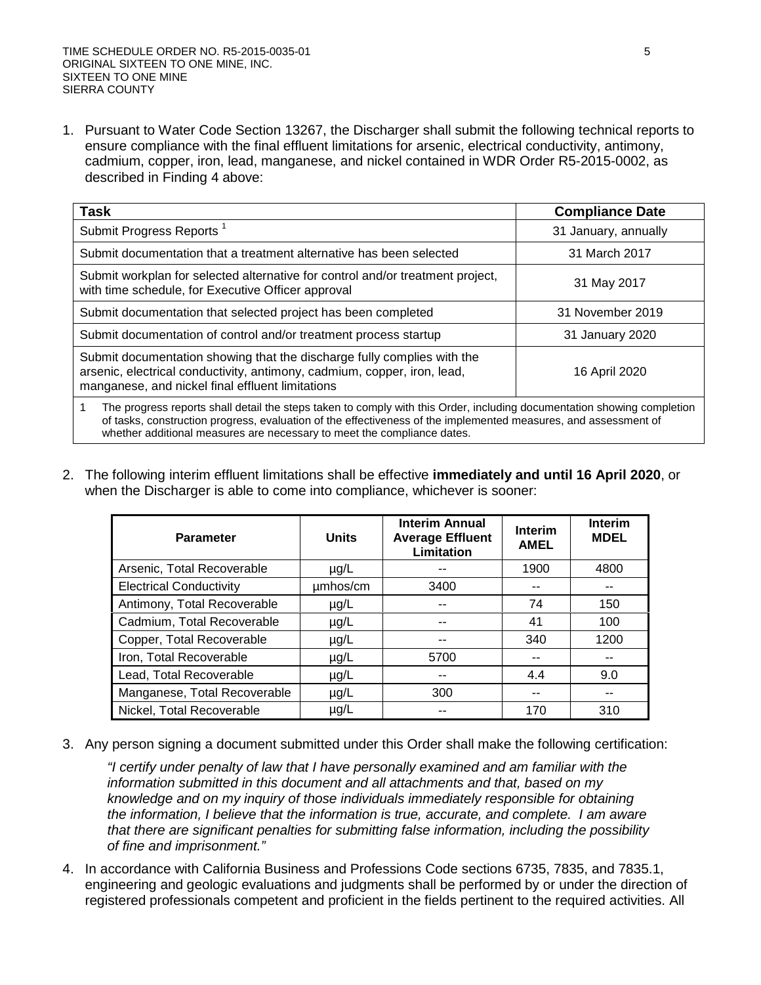1. Pursuant to Water Code Section 13267, the Discharger shall submit the following technical reports to ensure compliance with the final effluent limitations for arsenic, electrical conductivity, antimony, cadmium, copper, iron, lead, manganese, and nickel contained in WDR Order R5-2015-0002, as described in Finding 4 above:

| <b>Task</b>                                                                                                                                                                                                                                                                                                           | <b>Compliance Date</b> |  |  |  |
|-----------------------------------------------------------------------------------------------------------------------------------------------------------------------------------------------------------------------------------------------------------------------------------------------------------------------|------------------------|--|--|--|
| Submit Progress Reports <sup>1</sup>                                                                                                                                                                                                                                                                                  | 31 January, annually   |  |  |  |
| Submit documentation that a treatment alternative has been selected                                                                                                                                                                                                                                                   | 31 March 2017          |  |  |  |
| Submit workplan for selected alternative for control and/or treatment project,<br>with time schedule, for Executive Officer approval                                                                                                                                                                                  | 31 May 2017            |  |  |  |
| Submit documentation that selected project has been completed                                                                                                                                                                                                                                                         | 31 November 2019       |  |  |  |
| Submit documentation of control and/or treatment process startup                                                                                                                                                                                                                                                      | 31 January 2020        |  |  |  |
| Submit documentation showing that the discharge fully complies with the<br>arsenic, electrical conductivity, antimony, cadmium, copper, iron, lead,<br>manganese, and nickel final effluent limitations                                                                                                               | 16 April 2020          |  |  |  |
| The progress reports shall detail the steps taken to comply with this Order, including documentation showing completion<br>of tasks, construction progress, evaluation of the effectiveness of the implemented measures, and assessment of<br>whether additional measures are necessary to meet the compliance dates. |                        |  |  |  |

2. The following interim effluent limitations shall be effective **immediately and until 16 April 2020**, or when the Discharger is able to come into compliance, whichever is sooner:

| <b>Parameter</b>               | <b>Units</b> | <b>Interim Annual</b><br><b>Average Effluent</b><br>Limitation | Interim<br><b>AMEL</b> | <b>Interim</b><br><b>MDEL</b> |
|--------------------------------|--------------|----------------------------------------------------------------|------------------------|-------------------------------|
| Arsenic, Total Recoverable     | $\mu$ g/L    |                                                                | 1900                   | 4800                          |
| <b>Electrical Conductivity</b> | umhos/cm     | 3400                                                           | --                     | --                            |
| Antimony, Total Recoverable    | $\mu$ g/L    |                                                                | 74                     | 150                           |
| Cadmium, Total Recoverable     | $\mu$ g/L    |                                                                | 41                     | 100                           |
| Copper, Total Recoverable      | $\mu$ g/L    | --                                                             | 340                    | 1200                          |
| Iron, Total Recoverable        | $\mu$ g/L    | 5700                                                           | --                     | --                            |
| Lead, Total Recoverable        | $\mu$ g/L    | --                                                             | 4.4                    | 9.0                           |
| Manganese, Total Recoverable   | $\mu$ g/L    | 300                                                            | --                     | --                            |
| Nickel, Total Recoverable      | $\mu$ g/L    |                                                                | 170                    | 310                           |

3. Any person signing a document submitted under this Order shall make the following certification:

*"I certify under penalty of law that I have personally examined and am familiar with the information submitted in this document and all attachments and that, based on my knowledge and on my inquiry of those individuals immediately responsible for obtaining the information, I believe that the information is true, accurate, and complete. I am aware that there are significant penalties for submitting false information, including the possibility of fine and imprisonment."*

4. In accordance with California Business and Professions Code sections 6735, 7835, and 7835.1, engineering and geologic evaluations and judgments shall be performed by or under the direction of registered professionals competent and proficient in the fields pertinent to the required activities. All